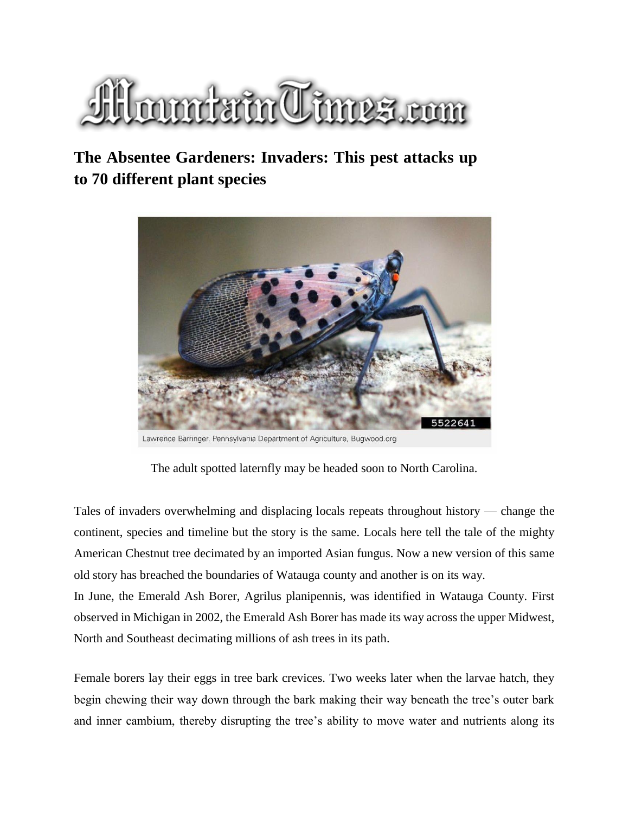

## **The Absentee Gardeners: Invaders: This pest attacks up to 70 different plant specie[s](https://www.wataugademocrat.com/content/tncms/live/#1)**



Lawrence Barringer, Pennsylvania Department of Agriculture, Bugwood.org

The adult spotted laternfly may be headed soon to North Carolina.

Tales of invaders overwhelming and displacing locals repeats throughout history — change the continent, species and timeline but the story is the same. Locals here tell the tale of the mighty American Chestnut tree decimated by an imported Asian fungus. Now a new version of this same old story has breached the boundaries of Watauga county and another is on its way.

In June, the Emerald Ash Borer, Agrilus planipennis, was identified in Watauga County. First observed in Michigan in 2002, the Emerald Ash Borer has made its way across the upper Midwest, North and Southeast decimating millions of ash trees in its path.

Female borers lay their eggs in tree bark crevices. Two weeks later when the larvae hatch, they begin chewing their way down through the bark making their way beneath the tree's outer bark and inner cambium, thereby disrupting the tree's ability to move water and nutrients along its